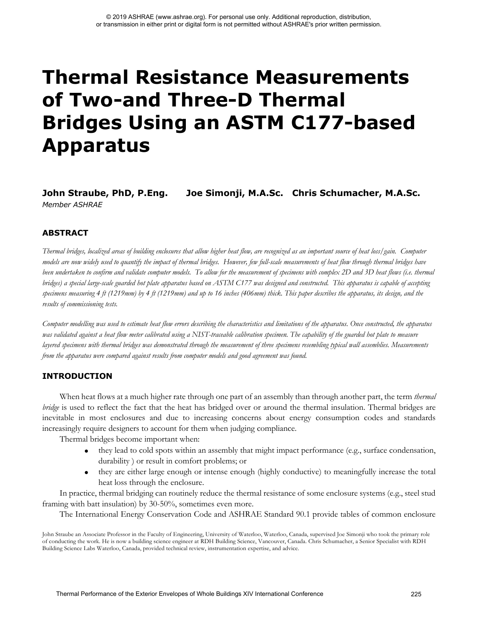# **Thermal Resistance Measurements of Two-and Three-D Thermal Bridges Using an ASTM C177-based Apparatus Thermal Performance of the External Performance of the External Conference Conference 225 Conference 225 Conference 225 Conference 225 Conference 235 Conference 225 Conference 225 Conference 225 Conference 225 Conference**

**John Straube, PhD, P.Eng. Joe Simonji, M.A.Sc. Chris Schumacher, M.A.Sc.** *Member ASHRAE*

# **ABSTRACT**

*Thermal bridges, localized areas of building enclosures that allow higher heat flow, are recognized as an important source of heat loss/gain. Computer models are now widely used to quantify the impact of thermal bridges. However, few full-scale measurements of heat flow through thermal bridges have*  been undertaken to confirm and validate computer models. To allow for the measurement of specimens with complex 2D and 3D heat flows (i.e. thermal *bridges) a special large-scale guarded hot plate apparatus based on ASTM C177 was designed and constructed. This apparatus is capable of accepting specimens measuring 4 ft (1219mm) by 4 ft (1219mm) and up to 16 inches (406mm) thick. This paper describes the apparatus, its design, and the results of commissioning tests.* 

*Computer modelling was used to estimate heat flow errors describing the characteristics and limitations of the apparatus. Once constructed, the apparatus was validated against a heat flow meter calibrated using a NIST-traceable calibration specimen. The capability of the guarded hot plate to measure layered specimens with thermal bridges was demonstrated through the measurement of three specimens resembling typical wall assemblies. Measurements from the apparatus were compared against results from computer models and good agreement was found.* 

# **INTRODUCTION**

When heat flows at a much higher rate through one part of an assembly than through another part, the term *thermal bridge* is used to reflect the fact that the heat has bridged over or around the thermal insulation. Thermal bridges are inevitable in most enclosures and due to increasing concerns about energy consumption codes and standards increasingly require designers to account for them when judging compliance.

Thermal bridges become important when:

- they lead to cold spots within an assembly that might impact performance (e.g., surface condensation, durability ) or result in comfort problems; or
- they are either large enough or intense enough (highly conductive) to meaningfully increase the total heat loss through the enclosure.

In practice, thermal bridging can routinely reduce the thermal resistance of some enclosure systems (e.g., steel stud framing with batt insulation) by 30-50%, sometimes even more.

The International Energy Conservation Code and ASHRAE Standard 90.1 provide tables of common enclosure

John Straube an Associate Professor in the Faculty of Engineering, University of Waterloo, Waterloo, Canada, supervised Joe Simonji who took the primary role of conducting the work. He is now a building science engineer at RDH Building Science, Vancouver, Canada. Chris Schumacher, a Senior Specialist with RDH Building Science Labs Waterloo, Canada, provided technical review, instrumentation expertise, and advice.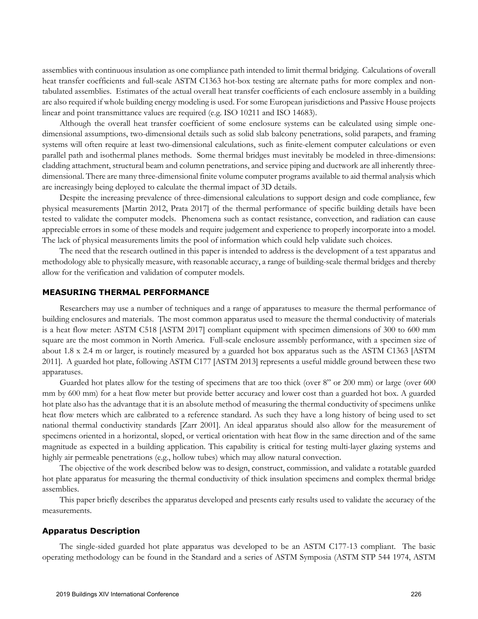assemblies with continuous insulation as one compliance path intended to limit thermal bridging. Calculations of overall heat transfer coefficients and full-scale ASTM C1363 hot-box testing are alternate paths for more complex and nontabulated assemblies. Estimates of the actual overall heat transfer coefficients of each enclosure assembly in a building are also required if whole building energy modeling is used. For some European jurisdictions and Passive House projects linear and point transmittance values are required (e.g. ISO 10211 and ISO 14683).

Although the overall heat transfer coefficient of some enclosure systems can be calculated using simple onedimensional assumptions, two-dimensional details such as solid slab balcony penetrations, solid parapets, and framing systems will often require at least two-dimensional calculations, such as finite-element computer calculations or even parallel path and isothermal planes methods. Some thermal bridges must inevitably be modeled in three-dimensions: cladding attachment, structural beam and column penetrations, and service piping and ductwork are all inherently threedimensional. There are many three-dimensional finite volume computer programs available to aid thermal analysis which are increasingly being deployed to calculate the thermal impact of 3D details.

Despite the increasing prevalence of three-dimensional calculations to support design and code compliance, few physical measurements [Martin 2012, Prata 2017] of the thermal performance of specific building details have been tested to validate the computer models. Phenomena such as contact resistance, convection, and radiation can cause appreciable errors in some of these models and require judgement and experience to properly incorporate into a model. The lack of physical measurements limits the pool of information which could help validate such choices.

The need that the research outlined in this paper is intended to address is the development of a test apparatus and methodology able to physically measure, with reasonable accuracy, a range of building-scale thermal bridges and thereby allow for the verification and validation of computer models.

### **MEASURING THERMAL PERFORMANCE**

Researchers may use a number of techniques and a range of apparatuses to measure the thermal performance of building enclosures and materials. The most common apparatus used to measure the thermal conductivity of materials is a heat flow meter: ASTM C518 [ASTM 2017] compliant equipment with specimen dimensions of 300 to 600 mm square are the most common in North America. Full-scale enclosure assembly performance, with a specimen size of about 1.8 x 2.4 m or larger, is routinely measured by a guarded hot box apparatus such as the ASTM C1363 [ASTM 2011]. A guarded hot plate, following ASTM C177 [ASTM 2013] represents a useful middle ground between these two apparatuses.

Guarded hot plates allow for the testing of specimens that are too thick (over 8" or 200 mm) or large (over 600 mm by 600 mm) for a heat flow meter but provide better accuracy and lower cost than a guarded hot box. A guarded hot plate also has the advantage that it is an absolute method of measuring the thermal conductivity of specimens unlike heat flow meters which are calibrated to a reference standard. As such they have a long history of being used to set national thermal conductivity standards [Zarr 2001]. An ideal apparatus should also allow for the measurement of specimens oriented in a horizontal, sloped, or vertical orientation with heat flow in the same direction and of the same magnitude as expected in a building application. This capability is critical for testing multi-layer glazing systems and highly air permeable penetrations (e.g., hollow tubes) which may allow natural convection.

The objective of the work described below was to design, construct, commission, and validate a rotatable guarded hot plate apparatus for measuring the thermal conductivity of thick insulation specimens and complex thermal bridge assemblies.

This paper briefly describes the apparatus developed and presents early results used to validate the accuracy of the measurements.

### **Apparatus Description**

The single-sided guarded hot plate apparatus was developed to be an ASTM C177-13 compliant. The basic operating methodology can be found in the Standard and a series of ASTM Symposia (ASTM STP 544 1974, ASTM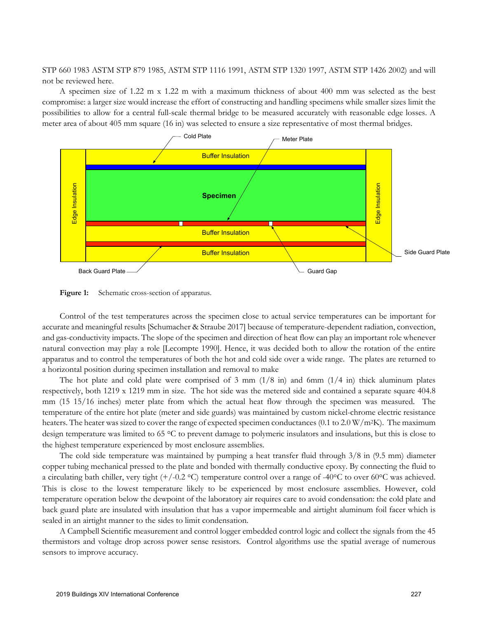STP 660 1983 ASTM STP 879 1985, ASTM STP 1116 1991, ASTM STP 1320 1997, ASTM STP 1426 2002) and will not be reviewed here.

A specimen size of 1.22 m x 1.22 m with a maximum thickness of about 400 mm was selected as the best compromise: a larger size would increase the effort of constructing and handling specimens while smaller sizes limit the possibilities to allow for a central full-scale thermal bridge to be measured accurately with reasonable edge losses. A meter area of about 405 mm square (16 in) was selected to ensure a size representative of most thermal bridges.



Figure 1: Schematic cross-section of apparatus.

Control of the test temperatures across the specimen close to actual service temperatures can be important for accurate and meaningful results [Schumacher & Straube 2017] because of temperature-dependent radiation, convection, and gas-conductivity impacts. The slope of the specimen and direction of heat flow can play an important role whenever natural convection may play a role [Lecompte 1990]. Hence, it was decided both to allow the rotation of the entire apparatus and to control the temperatures of both the hot and cold side over a wide range. The plates are returned to a horizontal position during specimen installation and removal to make

The hot plate and cold plate were comprised of 3 mm  $(1/8 \text{ in})$  and 6mm  $(1/4 \text{ in})$  thick aluminum plates respectively, both 1219 x 1219 mm in size. The hot side was the metered side and contained a separate square 404.8 mm (15 15/16 inches) meter plate from which the actual heat flow through the specimen was measured. The temperature of the entire hot plate (meter and side guards) was maintained by custom nickel-chrome electric resistance heaters. The heater was sized to cover the range of expected specimen conductances (0.1 to 2.0 W/m<sup>2</sup>K). The maximum design temperature was limited to 65 °C to prevent damage to polymeric insulators and insulations, but this is close to the highest temperature experienced by most enclosure assemblies.

The cold side temperature was maintained by pumping a heat transfer fluid through 3/8 in (9.5 mm) diameter copper tubing mechanical pressed to the plate and bonded with thermally conductive epoxy. By connecting the fluid to a circulating bath chiller, very tight  $(+/-0.2 \degree C)$  temperature control over a range of -40°C to over 60°C was achieved. This is close to the lowest temperature likely to be experienced by most enclosure assemblies. However, cold temperature operation below the dewpoint of the laboratory air requires care to avoid condensation: the cold plate and back guard plate are insulated with insulation that has a vapor impermeable and airtight aluminum foil facer which is sealed in an airtight manner to the sides to limit condensation.

A Campbell Scientific measurement and control logger embedded control logic and collect the signals from the 45 thermistors and voltage drop across power sense resistors. Control algorithms use the spatial average of numerous sensors to improve accuracy.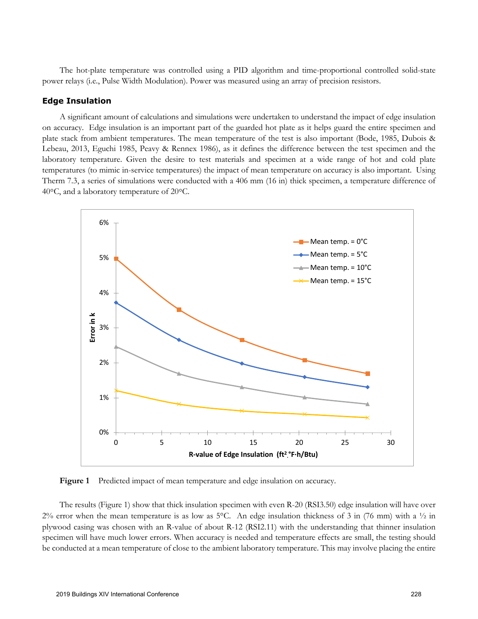The hot-plate temperature was controlled using a PID algorithm and time-proportional controlled solid-state power relays (i.e., Pulse Width Modulation). Power was measured using an array of precision resistors.

### **Edge Insulation**

A significant amount of calculations and simulations were undertaken to understand the impact of edge insulation on accuracy. Edge insulation is an important part of the guarded hot plate as it helps guard the entire specimen and plate stack from ambient temperatures. The mean temperature of the test is also important (Bode, 1985, Dubois & Lebeau, 2013, Eguchi 1985, Peavy & Rennex 1986), as it defines the difference between the test specimen and the laboratory temperature. Given the desire to test materials and specimen at a wide range of hot and cold plate temperatures (to mimic in-service temperatures) the impact of mean temperature on accuracy is also important. Using Therm 7.3, a series of simulations were conducted with a 406 mm (16 in) thick specimen, a temperature difference of 40°C, and a laboratory temperature of 20°C.



Figure 1 Predicted impact of mean temperature and edge insulation on accuracy.

The results (Figure 1) show that thick insulation specimen with even R-20 (RSI3.50) edge insulation will have over  $2\%$  error when the mean temperature is as low as 5°C. An edge insulation thickness of 3 in (76 mm) with a  $\frac{1}{2}$  in plywood casing was chosen with an R-value of about R-12 (RSI2.11) with the understanding that thinner insulation specimen will have much lower errors. When accuracy is needed and temperature effects are small, the testing should be conducted at a mean temperature of close to the ambient laboratory temperature. This may involve placing the entire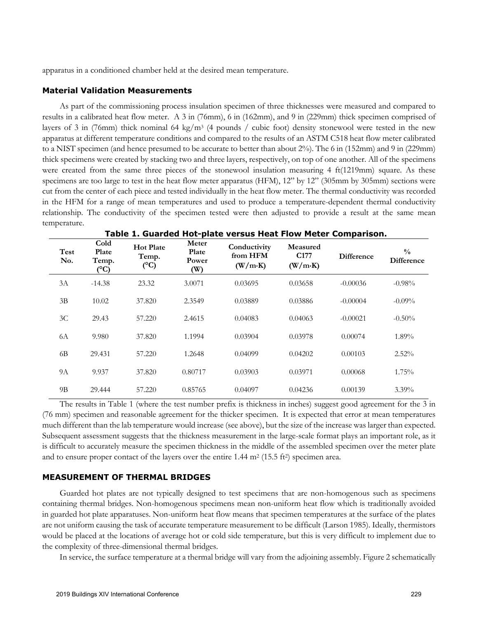apparatus in a conditioned chamber held at the desired mean temperature.

### **Material Validation Measurements**

As part of the commissioning process insulation specimen of three thicknesses were measured and compared to results in a calibrated heat flow meter. A 3 in (76mm), 6 in (162mm), and 9 in (229mm) thick specimen comprised of layers of 3 in (76mm) thick nominal 64 kg/m<sup>3</sup> (4 pounds / cubic foot) density stonewool were tested in the new apparatus at different temperature conditions and compared to the results of an ASTM C518 heat flow meter calibrated to a NIST specimen (and hence presumed to be accurate to better than about 2%). The 6 in (152mm) and 9 in (229mm) thick specimens were created by stacking two and three layers, respectively, on top of one another. All of the specimens were created from the same three pieces of the stonewool insulation measuring 4 ft(1219mm) square. As these specimens are too large to test in the heat flow meter apparatus (HFM), 12" by 12" (305mm by 305mm) sections were cut from the center of each piece and tested individually in the heat flow meter. The thermal conductivity was recorded in the HFM for a range of mean temperatures and used to produce a temperature-dependent thermal conductivity relationship. The conductivity of the specimen tested were then adjusted to provide a result at the same mean temperature.

| Test<br>No.    | Cold<br>Plate<br>Temp.<br>$(^{\circ}C)$ | <b>Hot Plate</b><br>Temp.<br>$({}^{\circ}C)$ | Meter<br>Plate<br>Power<br>(W) | Conductivity<br>from HFM<br>(W/m·K) | Measured<br>C <sub>177</sub><br>(W/m·K) | <b>Difference</b> | $\frac{0}{0}$<br><b>Difference</b> |
|----------------|-----------------------------------------|----------------------------------------------|--------------------------------|-------------------------------------|-----------------------------------------|-------------------|------------------------------------|
| 3A             | $-14.38$                                | 23.32                                        | 3.0071                         | 0.03695                             | 0.03658                                 | $-0.00036$        | $-0.98%$                           |
| 3B             | 10.02                                   | 37.820                                       | 2.3549                         | 0.03889                             | 0.03886                                 | $-0.00004$        | $-0.09\%$                          |
| 3C             | 29.43                                   | 57.220                                       | 2.4615                         | 0.04083                             | 0.04063                                 | $-0.00021$        | $-0.50\%$                          |
| 6A             | 9.980                                   | 37.820                                       | 1.1994                         | 0.03904                             | 0.03978                                 | 0.00074           | 1.89%                              |
| 6 <sub>B</sub> | 29.431                                  | 57.220                                       | 1.2648                         | 0.04099                             | 0.04202                                 | 0.00103           | $2.52\%$                           |
| <b>9A</b>      | 9.937                                   | 37.820                                       | 0.80717                        | 0.03903                             | 0.03971                                 | 0.00068           | 1.75%                              |
| 9B             | 29.444                                  | 57.220                                       | 0.85765                        | 0.04097                             | 0.04236                                 | 0.00139           | $3.39\%$                           |

**Table 1. Guarded Hot-plate versus Heat Flow Meter Comparison.** 

The results in Table 1 (where the test number prefix is thickness in inches) suggest good agreement for the 3 in (76 mm) specimen and reasonable agreement for the thicker specimen. It is expected that error at mean temperatures much different than the lab temperature would increase (see above), but the size of the increase was larger than expected. Subsequent assessment suggests that the thickness measurement in the large-scale format plays an important role, as it is difficult to accurately measure the specimen thickness in the middle of the assembled specimen over the meter plate and to ensure proper contact of the layers over the entire  $1.44 \text{ m}^2 (15.5 \text{ ft}^2)$  specimen area.

# **MEASUREMENT OF THERMAL BRIDGES**

Guarded hot plates are not typically designed to test specimens that are non-homogenous such as specimens containing thermal bridges. Non-homogenous specimens mean non-uniform heat flow which is traditionally avoided in guarded hot plate apparatuses. Non-uniform heat flow means that specimen temperatures at the surface of the plates are not uniform causing the task of accurate temperature measurement to be difficult (Larson 1985). Ideally, thermistors would be placed at the locations of average hot or cold side temperature, but this is very difficult to implement due to the complexity of three-dimensional thermal bridges.

In service, the surface temperature at a thermal bridge will vary from the adjoining assembly. Figure 2 schematically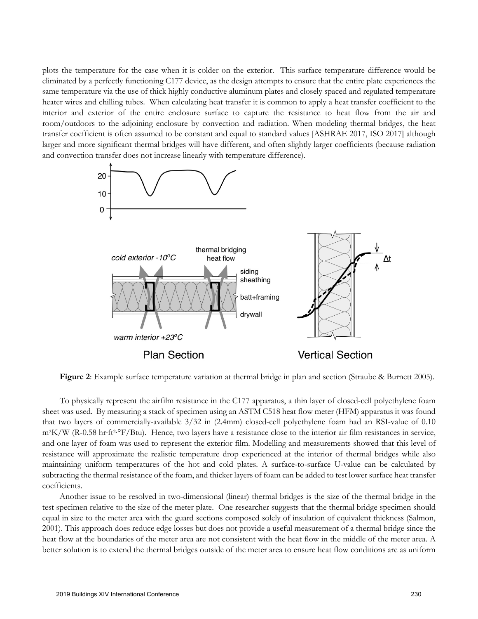plots the temperature for the case when it is colder on the exterior. This surface temperature difference would be eliminated by a perfectly functioning C177 device, as the design attempts to ensure that the entire plate experiences the same temperature via the use of thick highly conductive aluminum plates and closely spaced and regulated temperature heater wires and chilling tubes. When calculating heat transfer it is common to apply a heat transfer coefficient to the interior and exterior of the entire enclosure surface to capture the resistance to heat flow from the air and room/outdoors to the adjoining enclosure by convection and radiation. When modeling thermal bridges, the heat transfer coefficient is often assumed to be constant and equal to standard values [ASHRAE 2017, ISO 2017] although larger and more significant thermal bridges will have different, and often slightly larger coefficients (because radiation and convection transfer does not increase linearly with temperature difference).



**Figure 2**: Example surface temperature variation at thermal bridge in plan and section (Straube & Burnett 2005).

To physically represent the airfilm resistance in the C177 apparatus, a thin layer of closed-cell polyethylene foam sheet was used. By measuring a stack of specimen using an ASTM C518 heat flow meter (HFM) apparatus it was found that two layers of commercially-available 3/32 in (2.4mm) closed-cell polyethylene foam had an RSI-value of 0.10 m<sup>2</sup>K/W (R-0.58 hr·ft<sup>2·°</sup>F/Btu). Hence, two layers have a resistance close to the interior air film resistances in service, and one layer of foam was used to represent the exterior film. Modelling and measurements showed that this level of resistance will approximate the realistic temperature drop experienced at the interior of thermal bridges while also maintaining uniform temperatures of the hot and cold plates. A surface-to-surface U-value can be calculated by subtracting the thermal resistance of the foam, and thicker layers of foam can be added to test lower surface heat transfer coefficients.

Another issue to be resolved in two-dimensional (linear) thermal bridges is the size of the thermal bridge in the test specimen relative to the size of the meter plate. One researcher suggests that the thermal bridge specimen should equal in size to the meter area with the guard sections composed solely of insulation of equivalent thickness (Salmon, 2001). This approach does reduce edge losses but does not provide a useful measurement of a thermal bridge since the heat flow at the boundaries of the meter area are not consistent with the heat flow in the middle of the meter area. A better solution is to extend the thermal bridges outside of the meter area to ensure heat flow conditions are as uniform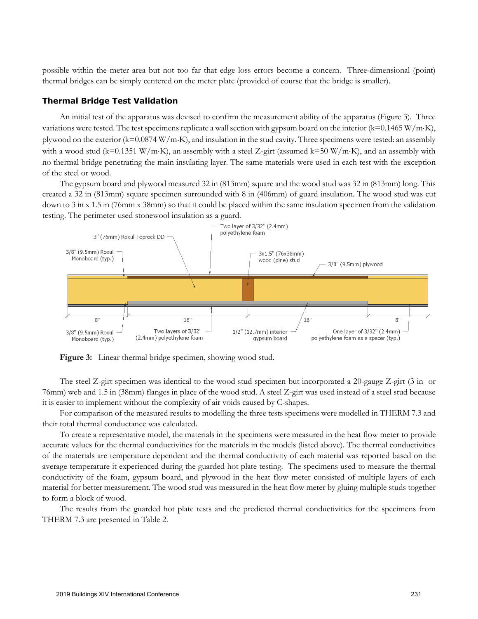possible within the meter area but not too far that edge loss errors become a concern. Three-dimensional (point) thermal bridges can be simply centered on the meter plate (provided of course that the bridge is smaller).

### **Thermal Bridge Test Validation**

An initial test of the apparatus was devised to confirm the measurement ability of the apparatus (Figure 3). Three variations were tested. The test specimens replicate a wall section with gypsum board on the interior  $(k=0.1465 \text{ W/m} \cdot \text{K})$ , plywood on the exterior (k=0.0874 W/m×K), and insulation in the stud cavity. Three specimens were tested: an assembly with a wood stud (k=0.1351 W/m·K), an assembly with a steel Z-girt (assumed k=50 W/m·K), and an assembly with no thermal bridge penetrating the main insulating layer. The same materials were used in each test with the exception of the steel or wood.

The gypsum board and plywood measured 32 in (813mm) square and the wood stud was 32 in (813mm) long. This created a 32 in (813mm) square specimen surrounded with 8 in (406mm) of guard insulation. The wood stud was cut down to 3 in x 1.5 in (76mm x 38mm) so that it could be placed within the same insulation specimen from the validation testing. The perimeter used stonewool insulation as a guard.



**Figure 3:** Linear thermal bridge specimen, showing wood stud.

The steel Z-girt specimen was identical to the wood stud specimen but incorporated a 20-gauge Z-girt (3 in or 76mm) web and 1.5 in (38mm) flanges in place of the wood stud. A steel Z-girt was used instead of a steel stud because it is easier to implement without the complexity of air voids caused by C-shapes.

For comparison of the measured results to modelling the three tests specimens were modelled in THERM 7.3 and their total thermal conductance was calculated.

To create a representative model, the materials in the specimens were measured in the heat flow meter to provide accurate values for the thermal conductivities for the materials in the models (listed above). The thermal conductivities of the materials are temperature dependent and the thermal conductivity of each material was reported based on the average temperature it experienced during the guarded hot plate testing. The specimens used to measure the thermal conductivity of the foam, gypsum board, and plywood in the heat flow meter consisted of multiple layers of each material for better measurement. The wood stud was measured in the heat flow meter by gluing multiple studs together to form a block of wood.

The results from the guarded hot plate tests and the predicted thermal conductivities for the specimens from THERM 7.3 are presented in Table 2.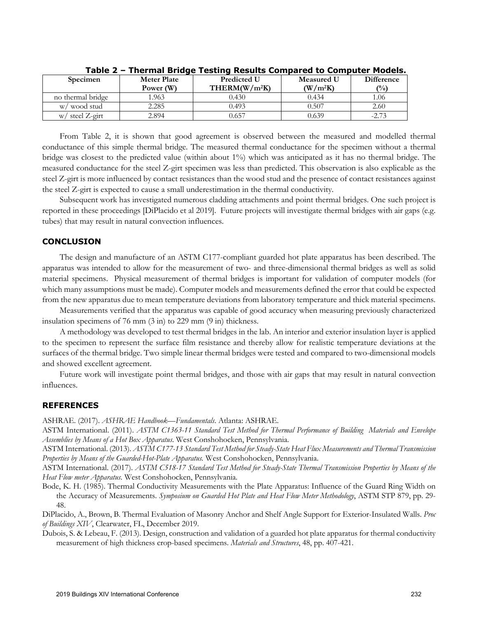| <b>Specimen</b>    | <b>Meter Plate</b><br>Power (W) | <b>Predicted U</b><br>THEN(W/m <sup>2</sup> K) | <b>Measured U</b><br>(W/m <sup>2</sup> K) | Difference<br>(%) |
|--------------------|---------------------------------|------------------------------------------------|-------------------------------------------|-------------------|
| no thermal bridge  | 1.963                           | 0.430                                          | 0.434                                     | .06               |
| wood stud<br>W/    | 2.285                           | 0.493                                          | 0.507                                     | 2.60              |
| steel Z-girt<br>W/ | 2.894                           | ).657                                          | 0.639                                     | $-2.73$           |

**Table 2 – Thermal Bridge Testing Results Compared to Computer Models.** 

From Table 2, it is shown that good agreement is observed between the measured and modelled thermal conductance of this simple thermal bridge. The measured thermal conductance for the specimen without a thermal bridge was closest to the predicted value (within about 1%) which was anticipated as it has no thermal bridge. The measured conductance for the steel Z-girt specimen was less than predicted. This observation is also explicable as the steel Z-girt is more influenced by contact resistances than the wood stud and the presence of contact resistances against the steel Z-girt is expected to cause a small underestimation in the thermal conductivity.

Subsequent work has investigated numerous cladding attachments and point thermal bridges. One such project is reported in these proceedings [DiPlacido et al 2019]. Future projects will investigate thermal bridges with air gaps (e.g. tubes) that may result in natural convection influences.

# **CONCLUSION**

The design and manufacture of an ASTM C177-compliant guarded hot plate apparatus has been described. The apparatus was intended to allow for the measurement of two- and three-dimensional thermal bridges as well as solid material specimens. Physical measurement of thermal bridges is important for validation of computer models (for which many assumptions must be made). Computer models and measurements defined the error that could be expected from the new apparatus due to mean temperature deviations from laboratory temperature and thick material specimens.

Measurements verified that the apparatus was capable of good accuracy when measuring previously characterized insulation specimens of 76 mm (3 in) to 229 mm (9 in) thickness.

A methodology was developed to test thermal bridges in the lab. An interior and exterior insulation layer is applied to the specimen to represent the surface film resistance and thereby allow for realistic temperature deviations at the surfaces of the thermal bridge. Two simple linear thermal bridges were tested and compared to two-dimensional models and showed excellent agreement.

Future work will investigate point thermal bridges, and those with air gaps that may result in natural convection influences.

# **REFERENCES**

ASHRAE. (2017). *ASHRAE Handbook—Fundamentals*. Atlanta: ASHRAE.

ASTM International. (2011). *ASTM C1363-11 Standard Test Method for Thermal Performance of Building Materials and Envelope Assemblies by Means of a Hot Box Apparatus*. West Conshohocken, Pennsylvania.

ASTM International. (2013). *ASTM C177-13 Standard Test Method for Steady-State Heat Flux Measurements and Thermal Transmission Properties by Means of the Guarded-Hot-Plate Apparatus.* West Conshohocken, Pennsylvania.

ASTM International. (2017). *ASTM C518-17 Standard Test Method for Steady-State Thermal Transmission Properties by Means of the Heat Flow meter Apparatus*. West Conshohocken, Pennsylvania.

Bode, K. H. (1985). Thermal Conductivity Measurements with the Plate Apparatus: Influence of the Guard Ring Width on the Accuracy of Measurements. *Symposium on Guarded Hot Plate and Heat Flow Meter Methodology*, ASTM STP 879, pp. 29- 48.

DiPlacido, A., Brown, B. Thermal Evaluation of Masonry Anchor and Shelf Angle Support for Exterior-Insulated Walls. *Proc of Buildings XIV*, Clearwater, FL, December 2019.

Dubois, S. & Lebeau, F. (2013). Design, construction and validation of a guarded hot plate apparatus for thermal conductivity measurement of high thickness crop-based specimens. *Materials and Structures*, 48, pp. 407-421.